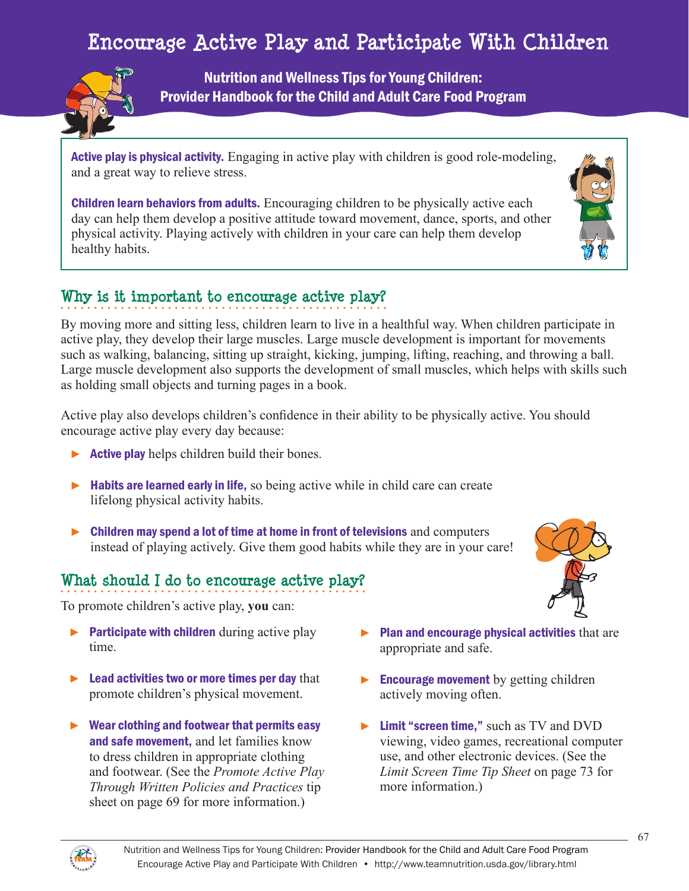# Encourage Active Play and Participate With Children **Encourage Active Play and Participate With Children**



Nutrition and Wellness Tips for Young Children: Provider Handbook for the Child and Adult Care Food Program

Active play is physical activity. Engaging in active play with children is good role-modeling, and a great way to relieve stress.

Children learn behaviors from adults. Encouraging children to be physically active each day can help them develop a positive attitude toward movement, dance, sports, and other physical activity. Playing actively with children in your care can help them develop healthy habits.

### **Why is it important to encourage active play?**

By moving more and sitting less, children learn to live in a healthful way. When children participate in active play, they develop their large muscles. Large muscle development is important for movements such as walking, balancing, sitting up straight, kicking, jumping, lifting, reaching, and throwing a ball. Large muscle development also supports the development of small muscles, which helps with skills such as holding small objects and turning pages in a book.

Active play also develops children's confidence in their ability to be physically active. You should encourage active play every day because:

- $\triangleright$  **Active play** helps children build their bones.
- ► Habits are learned early in life, so being active while in child care can create lifelong physical activity habits.
- ► Children may spend a lot of time at home in front of televisions and computers instead of playing actively. Give them good habits while they are in your care!

## **What should I do to encourage active play?**

To promote children's active play, **you** can:

- $\blacktriangleright$  Participate with children during active play time.
- $\blacktriangleright$  Lead activities two or more times per day that promote children's physical movement.
- ► Wear clothing and footwear that permits easy and safe movement, and let families know to dress children in appropriate clothing and footwear. (See the *Promote Active Play Through Written Policies and Practices* tip sheet on page 69 for more information.)



- $\blacktriangleright$  Plan and encourage physical activities that are appropriate and safe.
- $\blacktriangleright$  Encourage movement by getting children actively moving often.
- ► Limit "screen time," such as TV and DVD viewing, video games, recreational computer use, and other electronic devices. (See the *Limit Screen Time Tip Sheet* on page 73 for more information.)